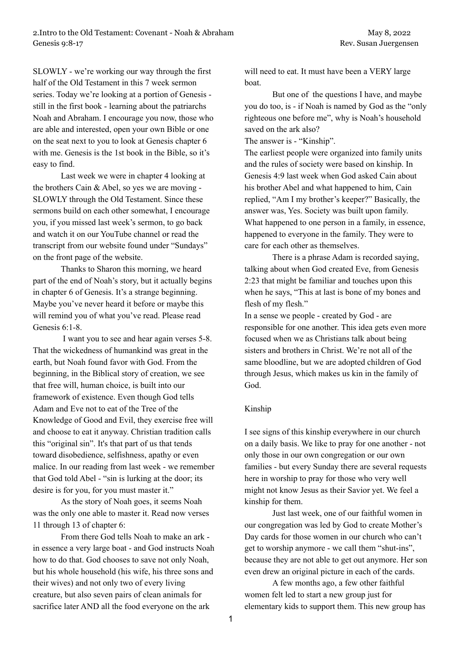SLOWLY - we're working our way through the first half of the Old Testament in this 7 week sermon series. Today we're looking at a portion of Genesis still in the first book - learning about the patriarchs Noah and Abraham. I encourage you now, those who are able and interested, open your own Bible or one on the seat next to you to look at Genesis chapter 6 with me. Genesis is the 1st book in the Bible, so it's easy to find.

Last week we were in chapter 4 looking at the brothers Cain & Abel, so yes we are moving - SLOWLY through the Old Testament. Since these sermons build on each other somewhat, I encourage you, if you missed last week's sermon, to go back and watch it on our YouTube channel or read the transcript from our website found under "Sundays" on the front page of the website.

Thanks to Sharon this morning, we heard part of the end of Noah's story, but it actually begins in chapter 6 of Genesis. It's a strange beginning. Maybe you've never heard it before or maybe this will remind you of what you've read. Please read Genesis 6:1-8.

I want you to see and hear again verses 5-8. That the wickedness of humankind was great in the earth, but Noah found favor with God. From the beginning, in the Biblical story of creation, we see that free will, human choice, is built into our framework of existence. Even though God tells Adam and Eve not to eat of the Tree of the Knowledge of Good and Evil, they exercise free will and choose to eat it anyway. Christian tradition calls this "original sin". It's that part of us that tends toward disobedience, selfishness, apathy or even malice. In our reading from last week - we remember that God told Abel - "sin is lurking at the door; its desire is for you, for you must master it."

As the story of Noah goes, it seems Noah was the only one able to master it. Read now verses 11 through 13 of chapter 6:

From there God tells Noah to make an ark in essence a very large boat - and God instructs Noah how to do that. God chooses to save not only Noah, but his whole household (his wife, his three sons and their wives) and not only two of every living creature, but also seven pairs of clean animals for sacrifice later AND all the food everyone on the ark

will need to eat. It must have been a VERY large boat.

But one of the questions I have, and maybe you do too, is - if Noah is named by God as the "only righteous one before me", why is Noah's household saved on the ark also?

The answer is - "Kinship".

The earliest people were organized into family units and the rules of society were based on kinship. In Genesis 4:9 last week when God asked Cain about his brother Abel and what happened to him, Cain replied, "Am I my brother's keeper?" Basically, the answer was, Yes. Society was built upon family. What happened to one person in a family, in essence, happened to everyone in the family. They were to care for each other as themselves.

There is a phrase Adam is recorded saying, talking about when God created Eve, from Genesis 2:23 that might be familiar and touches upon this when he says, "This at last is bone of my bones and flesh of my flesh."

In a sense we people - created by God - are responsible for one another. This idea gets even more focused when we as Christians talk about being sisters and brothers in Christ. We're not all of the same bloodline, but we are adopted children of God through Jesus, which makes us kin in the family of God.

## Kinship

I see signs of this kinship everywhere in our church on a daily basis. We like to pray for one another - not only those in our own congregation or our own families - but every Sunday there are several requests here in worship to pray for those who very well might not know Jesus as their Savior yet. We feel a kinship for them.

Just last week, one of our faithful women in our congregation was led by God to create Mother's Day cards for those women in our church who can't get to worship anymore - we call them "shut-ins", because they are not able to get out anymore. Her son even drew an original picture in each of the cards.

A few months ago, a few other faithful women felt led to start a new group just for elementary kids to support them. This new group has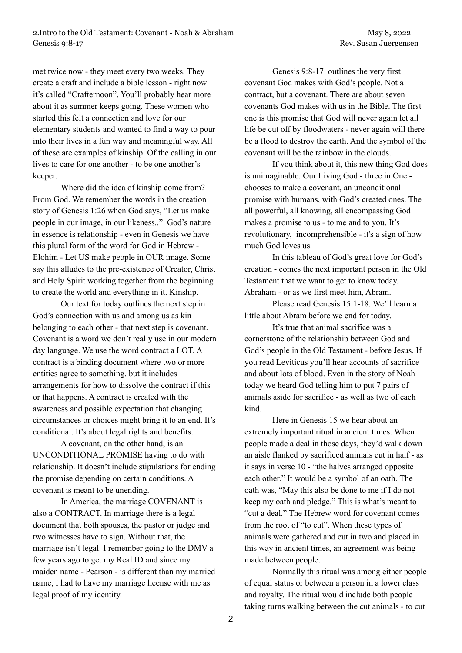met twice now - they meet every two weeks. They create a craft and include a bible lesson - right now it's called "Crafternoon". You'll probably hear more about it as summer keeps going. These women who started this felt a connection and love for our elementary students and wanted to find a way to pour into their lives in a fun way and meaningful way. All of these are examples of kinship. Of the calling in our lives to care for one another - to be one another's keeper.

Where did the idea of kinship come from? From God. We remember the words in the creation story of Genesis 1:26 when God says, "Let us make people in our image, in our likeness.." God's nature in essence is relationship - even in Genesis we have this plural form of the word for God in Hebrew - Elohim - Let US make people in OUR image. Some say this alludes to the pre-existence of Creator, Christ and Holy Spirit working together from the beginning to create the world and everything in it. Kinship.

Our text for today outlines the next step in God's connection with us and among us as kin belonging to each other - that next step is covenant. Covenant is a word we don't really use in our modern day language. We use the word contract a LOT. A contract is a binding document where two or more entities agree to something, but it includes arrangements for how to dissolve the contract if this or that happens. A contract is created with the awareness and possible expectation that changing circumstances or choices might bring it to an end. It's conditional. It's about legal rights and benefits.

A covenant, on the other hand, is an UNCONDITIONAL PROMISE having to do with relationship. It doesn't include stipulations for ending the promise depending on certain conditions. A covenant is meant to be unending.

In America, the marriage COVENANT is also a CONTRACT. In marriage there is a legal document that both spouses, the pastor or judge and two witnesses have to sign. Without that, the marriage isn't legal. I remember going to the DMV a few years ago to get my Real ID and since my maiden name - Pearson - is different than my married name, I had to have my marriage license with me as legal proof of my identity.

Genesis 9:8-17 outlines the very first covenant God makes with God's people. Not a contract, but a covenant. There are about seven covenants God makes with us in the Bible. The first one is this promise that God will never again let all life be cut off by floodwaters - never again will there be a flood to destroy the earth. And the symbol of the covenant will be the rainbow in the clouds.

If you think about it, this new thing God does is unimaginable. Our Living God - three in One chooses to make a covenant, an unconditional promise with humans, with God's created ones. The all powerful, all knowing, all encompassing God makes a promise to us - to me and to you. It's revolutionary, incomprehensible - it's a sign of how much God loves us.

In this tableau of God's great love for God's creation - comes the next important person in the Old Testament that we want to get to know today. Abraham - or as we first meet him, Abram.

Please read Genesis 15:1-18. We'll learn a little about Abram before we end for today.

It's true that animal sacrifice was a cornerstone of the relationship between God and God's people in the Old Testament - before Jesus. If you read Leviticus you'll hear accounts of sacrifice and about lots of blood. Even in the story of Noah today we heard God telling him to put 7 pairs of animals aside for sacrifice - as well as two of each kind.

Here in Genesis 15 we hear about an extremely important ritual in ancient times. When people made a deal in those days, they'd walk down an aisle flanked by sacrificed animals cut in half - as it says in verse 10 - "the halves arranged opposite each other." It would be a symbol of an oath. The oath was, "May this also be done to me if I do not keep my oath and pledge." This is what's meant to "cut a deal." The Hebrew word for covenant comes from the root of "to cut". When these types of animals were gathered and cut in two and placed in this way in ancient times, an agreement was being made between people.

Normally this ritual was among either people of equal status or between a person in a lower class and royalty. The ritual would include both people taking turns walking between the cut animals - to cut